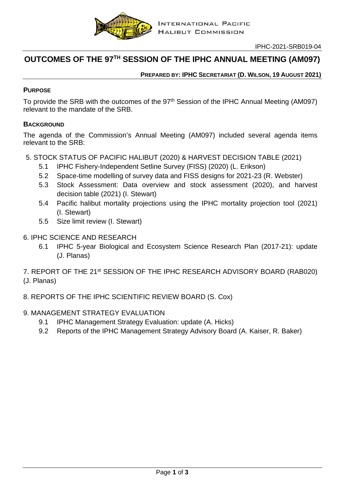

# **OUTCOMES OF THE 97TH SESSION OF THE IPHC ANNUAL MEETING (AM097)**

# **PREPARED BY: IPHC SECRETARIAT (D. WILSON, 19 AUGUST 2021)**

# **PURPOSE**

To provide the SRB with the outcomes of the 97<sup>th</sup> Session of the IPHC Annual Meeting (AM097) relevant to the mandate of the SRB.

# **BACKGROUND**

The agenda of the Commission's Annual Meeting (AM097) included several agenda items relevant to the SRB:

- 5. STOCK STATUS OF PACIFIC HALIBUT (2020) & HARVEST DECISION TABLE (2021)
	- 5.1 IPHC Fishery-Independent Setline Survey (FISS) (2020) (L. Erikson)
	- 5.2 Space-time modelling of survey data and FISS designs for 2021-23 (R. Webster)
	- 5.3 Stock Assessment: Data overview and stock assessment (2020), and harvest decision table (2021) (I. Stewart)
	- 5.4 Pacific halibut mortality projections using the IPHC mortality projection tool (2021) (I. Stewart)
	- 5.5 Size limit review (I. Stewart)
- 6. IPHC SCIENCE AND RESEARCH
	- 6.1 IPHC 5-year Biological and Ecosystem Science Research Plan (2017-21): update (J. Planas)
- 7. REPORT OF THE 21st SESSION OF THE IPHC RESEARCH ADVISORY BOARD (RAB020) (J. Planas)
- 8. REPORTS OF THE IPHC SCIENTIFIC REVIEW BOARD (S. Cox)
- 9. MANAGEMENT STRATEGY EVALUATION
	- 9.1 IPHC Management Strategy Evaluation: update (A. Hicks)
	- 9.2 Reports of the IPHC Management Strategy Advisory Board (A. Kaiser, R. Baker)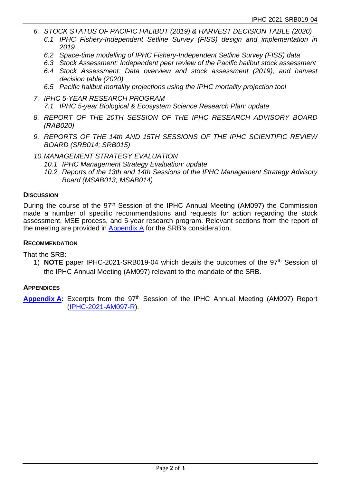- *6. STOCK STATUS OF PACIFIC HALIBUT (2019) & HARVEST DECISION TABLE (2020)*
	- *6.1 IPHC Fishery-Independent Setline Survey (FISS) design and implementation in 2019*
	- *6.2 Space-time modelling of IPHC Fishery-Independent Setline Survey (FISS) data*
	- *6.3 Stock Assessment: Independent peer review of the Pacific halibut stock assessment*
	- *6.4 Stock Assessment: Data overview and stock assessment (2019), and harvest decision table (2020)*
	- *6.5 Pacific halibut mortality projections using the IPHC mortality projection tool*
- *7. IPHC 5-YEAR RESEARCH PROGRAM 7.1 IPHC 5-year Biological & Ecosystem Science Research Plan: update*
- *8. REPORT OF THE 20TH SESSION OF THE IPHC RESEARCH ADVISORY BOARD (RAB020)*
- *9. REPORTS OF THE 14th AND 15TH SESSIONS OF THE IPHC SCIENTIFIC REVIEW BOARD (SRB014; SRB015)*
- *10.MANAGEMENT STRATEGY EVALUATION*
	- *10.1 IPHC Management Strategy Evaluation: update*
	- *10.2 Reports of the 13th and 14th Sessions of the IPHC Management Strategy Advisory Board (MSAB013; MSAB014)*

## **DISCUSSION**

During the course of the 97<sup>th</sup> Session of the IPHC Annual Meeting (AM097) the Commission made a number of specific recommendations and requests for action regarding the stock assessment, MSE process, and 5-year research program. Relevant sections from the report of the meeting are provided in [Appendix A](#page-2-0) for the SRB's consideration.

#### **RECOMMENDATION**

That the SRB:

1) **NOTE** paper IPHC-2021-SRB019-04 which details the outcomes of the 97th Session of the IPHC Annual Meeting (AM097) relevant to the mandate of the SRB.

#### **APPENDICES**

**[Appendix](#page-2-0) A:** Excerpts from the 97<sup>th</sup> Session of the IPHC Annual Meeting (AM097) Report [\(IPHC-2021-AM097-R\)](https://www.iphc.int/uploads/pdf/am/am097/iphc-2021-am097-r.pdf).